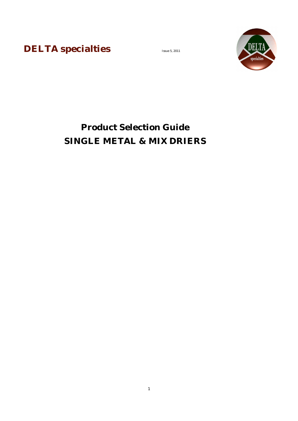**DELTA specialties** 



## **Product Selection Guide SINGLE METAL & MIX DRIERS**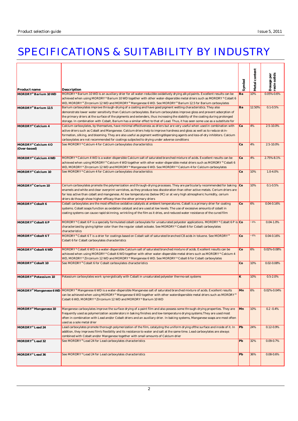## SPECIFICATIONS & SUITABILITY BY INDUSTRY

| Product name                        | Description                                                                                                                                                                                                                                                                                                                                                                                                                                                                                                          | Symbol | Metal content | Dosage per<br>resin solids |
|-------------------------------------|----------------------------------------------------------------------------------------------------------------------------------------------------------------------------------------------------------------------------------------------------------------------------------------------------------------------------------------------------------------------------------------------------------------------------------------------------------------------------------------------------------------------|--------|---------------|----------------------------|
| MORDRY® Barium 10 WD                | MORDRY® Barium 10 WD is an auxiliary drier for all water-reducible oxidatively drying alkyd paints. Excellent results can be<br>achieved when using MORDRY® Barium 10 WD together with other water-dispersible metal driers such as MORDRY® Cobalt 6<br>WD, MORDRY® Zirconium 12 WD and MORDRY® Manganese 6 WD. See MORDRY® Barium 12.5 for Barium carboxylates                                                                                                                                                      | Ba     | 10%           | 0.05%-0.6%                 |
| MORDRY® Barium 12.5                 | Barium carboxylates improve through-drying of a coating and have good pigment wetting characteristics. They also<br>demonstrate lower water sensitivity than Calcium carboxylates. Barium carboxylates improve gloss and prevent adsorption of<br>the primary driers at the surface of the pigments and extenders, thus increasing the stability of the coating during prolonged<br>storage. In combination with Cobalt, Barium has a similar effect to that of Lead. Thus, it has seen some use as a substitute for | Ba     | 12.50%        | $0.1 - 0.5%$               |
| MORDRY® Calcium 4                   | Calcium carboxylates, by themselves, have minimal effectiveness as driers but are very useful when used in combination with<br>active driers such as Cobalt and Manganese. Calcium driers help to improve hardness and gloss as well as to reduce skin-<br>formation, silking, and blooming. They are also useful as pigment wetting/dispersing agents and loss-of-dry inhibitors. Calcium<br>carboxylates are not recommended for coatings subjected to drying under adverse conditions                             | Ca     | 4%            | 2.5-10.0%                  |
| MORDRY® Calcium 4 O<br>(Over-based) | See MORDRY® Calcium 4 for Calcium carboxylates characteristics                                                                                                                                                                                                                                                                                                                                                                                                                                                       | Ca     | 4%            | 2.5-10.0%                  |
| MORDRY® Calcium 4 WD                | MORDRY® Calcium 4 WD is a water-dispersible Calcium salt of saturated branched mixture of acids. Excellent results can be<br>achieved when using MORDRY® Calcium 4 WD together with other water-dispersible metal driers such as MORDRY® Cobalt 6<br>WD, MORDRY® Zirconium 12 WD and MORDRY® Manganese 6 WD. See MORDRY® Calcium 4 for Calcium carboxylates                                                                                                                                                          | Ca     | 4%            | 2.75%-8.1%                 |
| MORDRY® Calcium 10                  | See MORDRY® Calcium 4 for Calcium carboxylates characteristics                                                                                                                                                                                                                                                                                                                                                                                                                                                       | Ca     | 10%           | 1.0-4.0%                   |
| MORDRY® Cerium 10                   | Cerium carboxylates promote the polymerization and through-drying processes. They are particularly recommended for baking Ce<br>enamels and white and clear overprint varnishes, as they produce less discoloration than other active metals. Cerium driers are<br>far less active than cobalt and manganese. At low temperatures (below 0°C) or at very high atmospheric humidity, cerium<br>driers do though show higher efficacy than the other primary driers                                                    |        | 10%           | $0.1 - 0.5%$               |
| MORDRY® Cobalt 6                    | Cobalt carboxylates are the most effective oxidative catalysts at ambient temperatures. Cobalt is a primary drier for coating<br>systems. Cobalt soaps function as oxidation catalyst and are used at low levels. The use of excessive amounts of cobalt in<br>coating systems can cause rapid skinning, wrinkling of the film as it dries, and reduced water resistance of the cured film                                                                                                                           | Co     | 6%            | $0.04 - 0.16%$             |
| MORDRY® Cobalt 6 P                  | MORDRY® Cobalt 6 P is a specially formulated cobalt carboxylate for unsaturated polyester applications. MORDRY® Cobalt 6 P is Co<br>characterized by giving lighter color than the regular cobalt octoate. See MORDRY® Cobalt 6 for Cobalt carboxylates<br>characteristics                                                                                                                                                                                                                                           |        | ~16%          | $0.04 - 1.0%$              |
| MORDRY® Cobalt 6 T                  | MORDRY® Cobalt 6 T is a drier for coatings based on Cobalt salt of saturated branched C8 acids in toluene. See MORDRY®<br>Cobalt 6 for Cobalt carboxylates characteristics                                                                                                                                                                                                                                                                                                                                           | Co     | $~16\%$       | 0.04-0.16%                 |
| MORDRY® Cobalt 6 WD                 | MORDRY® Cobalt 6 WD is a water-dispersible Calcium salt of saturated branched mixture of acids. Excellent results can be<br>achieved when using MORDRY® Cobalt 6 WD together with other water-dispersible metal driers such as MORDRY® Calcium 4<br>WD, MORDRY® Zirconium 12 WD and MORDRY® Manganese 6 WD. See MORDRY® Cobalt 6 for Cobalt carboxylates                                                                                                                                                             | Co     | 6%            | 0.02%-0.08%                |
| MORDRY® Cobalt 10                   | See MORDRY® Cobalt 6 for Cobalt carboxylates characteristics                                                                                                                                                                                                                                                                                                                                                                                                                                                         | Co     | 10%           | 0.02-0.08%                 |
| MORDRY® Potassium 10                | Potassium carboxylates work synergistically with Cobalt in unsaturated polyester thermo-set systems                                                                                                                                                                                                                                                                                                                                                                                                                  | K      | 10%           | $0.5 - 2.0%$               |
|                                     | MORDRY® Manganese 6 WD MORDRY® Manganese 6 WD is a water-dispersible Manganese salt of saturated branched mixture of acids. Excellent results<br>can be achieved when using MORDRY® Manganese 6 WD together with other waterdispersible metal driers such as MORDRY®<br>Cobalt 6 WD, MORDRY® Zirconium 12 WD and MORDRY® Barium 10 WD                                                                                                                                                                                | Mn     | 6%            | 0.02%-0.04%                |
| MORDRY® Manganese 10                | Manganese carboxylates improve the surface drying of a paint film and also possess some through-drying properties. They are<br>frequently used as polymerization accelerators in baking finishes and low-temperature drying systems. They are used most<br>often in combination with Lead and/or Cobalt driers and an auxiliary drier. In baking systems, Manganese soaps are most often<br>used as a sole metal drier                                                                                               | Mn     | 10%           | $0.2 - 0.4%$               |
| MORDRY® Lead 24                     | Lead carboxylates promote thorough polymerization of the film, catalyzing the uniform drying ofthe surface and inside of it. In<br>addition, they improves film's flexibility and its resistance to water and salt at the same time. Lead carboxylates are always<br>combined with Cobalt and/or Manganese together with small amounts of Calcium drier                                                                                                                                                              | Pb     | 24%           | $0.12 - 0.9%$              |
| MORDRY <sup>®</sup> Lead 32         | See MORDRY® Lead 24 for Lead carboxylates characteristics                                                                                                                                                                                                                                                                                                                                                                                                                                                            | Pb     | 32%           | 0.09-0.7%                  |
| MORDRY® Lead 36                     | See MORDRY® Lead 24 for Lead carboxylates characteristics                                                                                                                                                                                                                                                                                                                                                                                                                                                            | Pb     | 36%           | $0.08 - 0.6%$              |